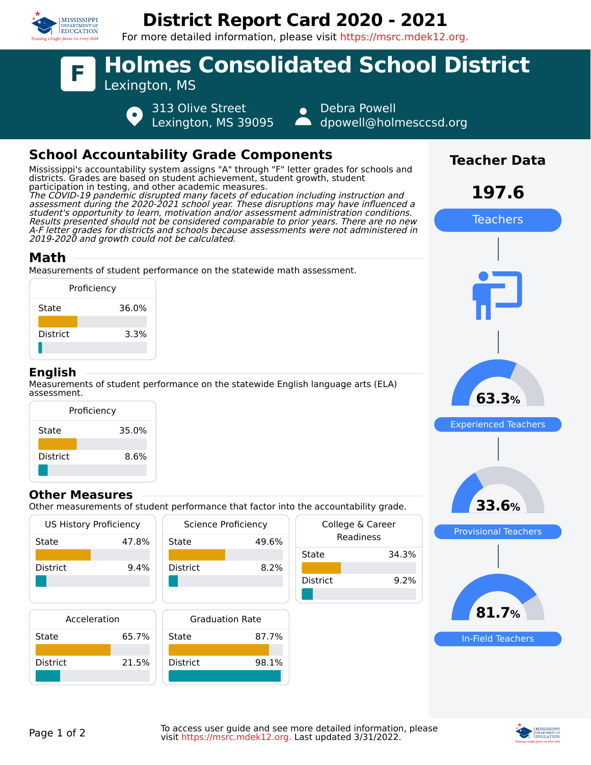

## **District Report Card 2020 - 2021**

For more detailed information, please visit https://msrc.mdek12.org.